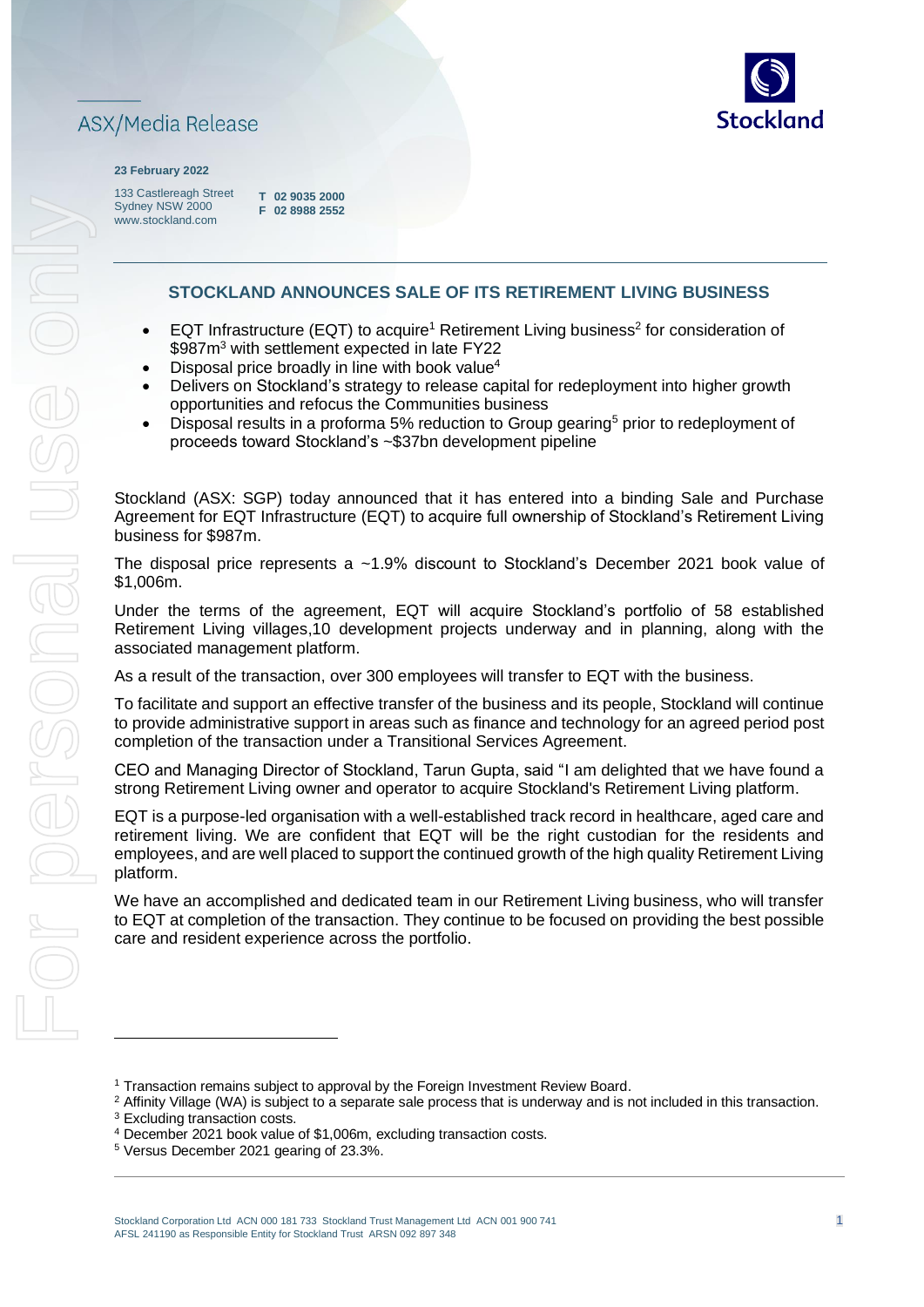

# **ASX/Media Release**

#### **23 February 2022**

133 Castlereagh Street Sydney NSW 2000 www.stockland.com

**T 02 9035 2000 F 02 8988 2552** 

### **STOCKLAND ANNOUNCES SALE OF ITS RETIREMENT LIVING BUSINESS**

- EQT Infrastructure (EQT) to acquire<sup>1</sup> Retirement Living business<sup>2</sup> for consideration of \$987m<sup>3</sup> with settlement expected in late FY22
- Disposal price broadly in line with book value<sup>4</sup>
- Delivers on Stockland's strategy to release capital for redeployment into higher growth opportunities and refocus the Communities business
- Disposal results in a proforma 5% reduction to Group gearing<sup>5</sup> prior to redeployment of proceeds toward Stockland's ~\$37bn development pipeline

Stockland (ASX: SGP) today announced that it has entered into a binding Sale and Purchase Agreement for EQT Infrastructure (EQT) to acquire full ownership of Stockland's Retirement Living business for \$987m.

The disposal price represents a ~1.9% discount to Stockland's December 2021 book value of \$1,006m.

Under the terms of the agreement, EQT will acquire Stockland's portfolio of 58 established Retirement Living villages,10 development projects underway and in planning, along with the associated management platform.

As a result of the transaction, over 300 employees will transfer to EQT with the business.

To facilitate and support an effective transfer of the business and its people, Stockland will continue to provide administrative support in areas such as finance and technology for an agreed period post completion of the transaction under a Transitional Services Agreement.

CEO and Managing Director of Stockland, Tarun Gupta, said "I am delighted that we have found a strong Retirement Living owner and operator to acquire Stockland's Retirement Living platform.

EQT is a purpose-led organisation with a well-established track record in healthcare, aged care and retirement living. We are confident that EQT will be the right custodian for the residents and employees, and are well placed to support the continued growth of the high quality Retirement Living platform.

We have an accomplished and dedicated team in our Retirement Living business, who will transfer to EQT at completion of the transaction. They continue to be focused on providing the best possible care and resident experience across the portfolio.

<sup>&</sup>lt;sup>1</sup> Transaction remains subject to approval by the Foreign Investment Review Board.

<sup>&</sup>lt;sup>2</sup> Affinity Village (WA) is subject to a separate sale process that is underway and is not included in this transaction.

<sup>&</sup>lt;sup>3</sup> Excluding transaction costs.

<sup>4</sup> December 2021 book value of \$1,006m, excluding transaction costs.

<sup>5</sup> Versus December 2021 gearing of 23.3%.